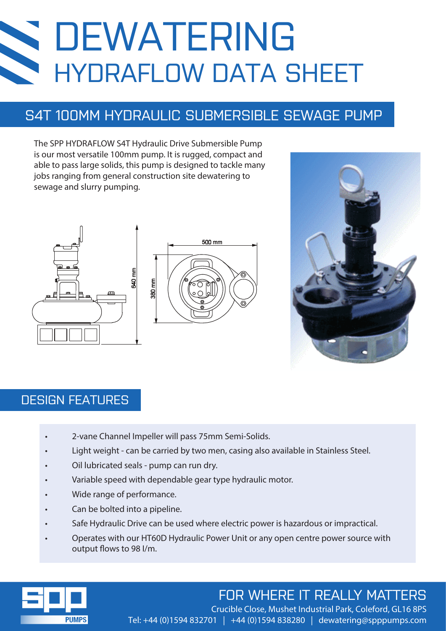# DEWATERING HYDRAFLOW DATA SHEET

## S4T 100MM HYDRAULIC SUBMERSIBLE SEWAGE PUMP

The SPP HYDRAFLOW S4T Hydraulic Drive Submersible Pump is our most versatile 100mm pump. It is rugged, compact and able to pass large solids, this pump is designed to tackle many jobs ranging from general construction site dewatering to sewage and slurry pumping.





#### DESIGN FEATURES

- 2-vane Channel Impeller will pass 75mm Semi-Solids.
- Light weight can be carried by two men, casing also available in Stainless Steel.
- Oil lubricated seals pump can run dry.
- Variable speed with dependable gear type hydraulic motor.
- Wide range of performance.
- Can be bolted into a pipeline.
- Safe Hydraulic Drive can be used where electric power is hazardous or impractical.
- Operates with our HT60D Hydraulic Power Unit or any open centre power source with output flows to 98 l/m.



## FOR WHERE IT REALLY MATTERS

Crucible Close, Mushet Industrial Park, Coleford, GL16 8PS Tel: +44 (0)1594 832701 | +44 (0)1594 838280 | dewatering@spppumps.com